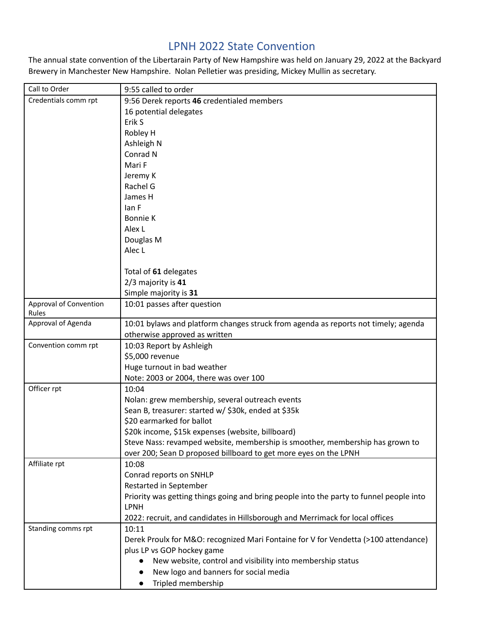## LPNH 2022 State Convention

The annual state convention of the Libertarain Party of New Hampshire was held on January 29, 2022 at the Backyard Brewery in Manchester New Hampshire. Nolan Pelletier was presiding, Mickey Mullin as secretary.

| Call to Order                   | 9:55 called to order                                                                    |
|---------------------------------|-----------------------------------------------------------------------------------------|
| Credentials comm rpt            | 9:56 Derek reports 46 credentialed members                                              |
|                                 | 16 potential delegates                                                                  |
|                                 | Erik S                                                                                  |
|                                 | Robley H                                                                                |
|                                 | Ashleigh N                                                                              |
|                                 | Conrad N                                                                                |
|                                 | Mari F                                                                                  |
|                                 | Jeremy K                                                                                |
|                                 | Rachel G                                                                                |
|                                 | James H                                                                                 |
|                                 | lan F                                                                                   |
|                                 | Bonnie K                                                                                |
|                                 | Alex L                                                                                  |
|                                 | Douglas M                                                                               |
|                                 | Alec L                                                                                  |
|                                 |                                                                                         |
|                                 | Total of 61 delegates                                                                   |
|                                 | 2/3 majority is 41                                                                      |
|                                 | Simple majority is 31                                                                   |
| Approval of Convention<br>Rules | 10:01 passes after question                                                             |
| Approval of Agenda              | 10:01 bylaws and platform changes struck from agenda as reports not timely; agenda      |
|                                 | otherwise approved as written                                                           |
| Convention comm rpt             | 10:03 Report by Ashleigh                                                                |
|                                 | \$5,000 revenue                                                                         |
|                                 | Huge turnout in bad weather                                                             |
|                                 | Note: 2003 or 2004, there was over 100                                                  |
| Officer rpt                     | 10:04                                                                                   |
|                                 | Nolan: grew membership, several outreach events                                         |
|                                 | Sean B, treasurer: started w/ \$30k, ended at \$35k                                     |
|                                 | \$20 earmarked for ballot                                                               |
|                                 | \$20k income, \$15k expenses (website, billboard)                                       |
|                                 | Steve Nass: revamped website, membership is smoother, membership has grown to           |
|                                 | over 200; Sean D proposed billboard to get more eyes on the LPNH                        |
| Affiliate rpt                   | 10:08                                                                                   |
|                                 | Conrad reports on SNHLP                                                                 |
|                                 | Restarted in September                                                                  |
|                                 | Priority was getting things going and bring people into the party to funnel people into |
|                                 | <b>LPNH</b>                                                                             |
|                                 | 2022: recruit, and candidates in Hillsborough and Merrimack for local offices           |
| Standing comms rpt              | 10:11                                                                                   |
|                                 | Derek Proulx for M&O: recognized Mari Fontaine for V for Vendetta (>100 attendance)     |
|                                 | plus LP vs GOP hockey game                                                              |
|                                 | New website, control and visibility into membership status<br>$\bullet$                 |
|                                 | New logo and banners for social media                                                   |
|                                 | Tripled membership<br>$\bullet$                                                         |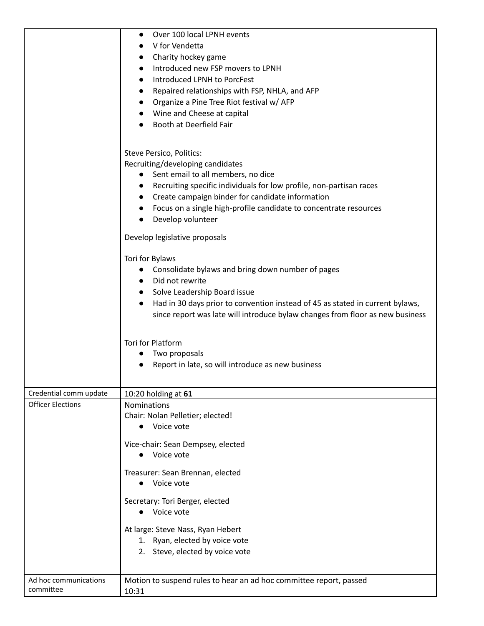|                          | Over 100 local LPNH events<br>$\bullet$                                                    |
|--------------------------|--------------------------------------------------------------------------------------------|
|                          | V for Vendetta<br>Charity hockey game<br>$\bullet$                                         |
|                          | Introduced new FSP movers to LPNH<br>$\bullet$                                             |
|                          | Introduced LPNH to PorcFest                                                                |
|                          | Repaired relationships with FSP, NHLA, and AFP<br>$\bullet$                                |
|                          | Organize a Pine Tree Riot festival w/ AFP<br>$\bullet$                                     |
|                          | Wine and Cheese at capital                                                                 |
|                          | Booth at Deerfield Fair                                                                    |
|                          |                                                                                            |
|                          | Steve Persico, Politics:                                                                   |
|                          | Recruiting/developing candidates                                                           |
|                          | Sent email to all members, no dice                                                         |
|                          | Recruiting specific individuals for low profile, non-partisan races<br>$\bullet$           |
|                          | Create campaign binder for candidate information<br>$\bullet$                              |
|                          | Focus on a single high-profile candidate to concentrate resources<br>$\bullet$             |
|                          | Develop volunteer                                                                          |
|                          | Develop legislative proposals                                                              |
|                          | Tori for Bylaws                                                                            |
|                          | Consolidate bylaws and bring down number of pages                                          |
|                          | Did not rewrite<br>$\bullet$                                                               |
|                          | Solve Leadership Board issue<br>$\bullet$                                                  |
|                          | Had in 30 days prior to convention instead of 45 as stated in current bylaws,<br>$\bullet$ |
|                          | since report was late will introduce bylaw changes from floor as new business              |
|                          | Tori for Platform                                                                          |
|                          | Two proposals                                                                              |
|                          | Report in late, so will introduce as new business                                          |
|                          |                                                                                            |
| Credential comm update   | 10:20 holding at 61                                                                        |
| <b>Officer Elections</b> | <b>Nominations</b>                                                                         |
|                          | Chair: Nolan Pelletier; elected!                                                           |
|                          | • Voice vote                                                                               |
|                          | Vice-chair: Sean Dempsey, elected                                                          |
|                          | • Voice vote                                                                               |
|                          | Treasurer: Sean Brennan, elected                                                           |
|                          | • Voice vote                                                                               |
|                          | Secretary: Tori Berger, elected                                                            |
|                          | • Voice vote                                                                               |
|                          | At large: Steve Nass, Ryan Hebert                                                          |
|                          | 1. Ryan, elected by voice vote                                                             |
|                          | 2. Steve, elected by voice vote                                                            |
|                          |                                                                                            |
| Ad hoc communications    | Motion to suspend rules to hear an ad hoc committee report, passed                         |
| committee                | 10:31                                                                                      |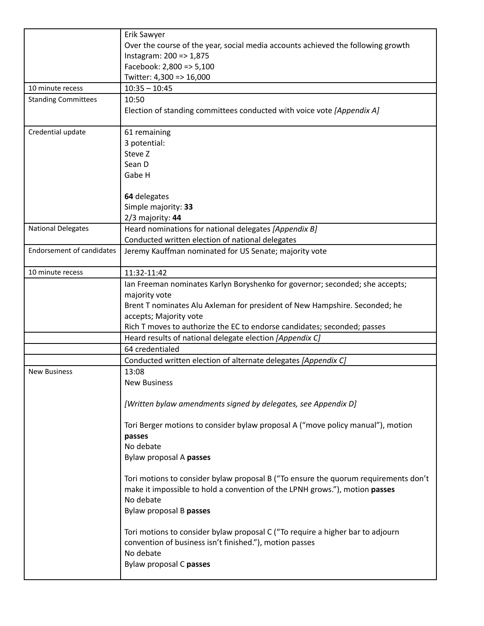|                                  | Erik Sawyer                                                                               |
|----------------------------------|-------------------------------------------------------------------------------------------|
|                                  | Over the course of the year, social media accounts achieved the following growth          |
|                                  | Instagram: 200 => 1,875                                                                   |
|                                  | Facebook: 2,800 => 5,100                                                                  |
|                                  | Twitter: 4,300 => 16,000                                                                  |
| 10 minute recess                 | $10:35 - 10:45$                                                                           |
| <b>Standing Committees</b>       | 10:50                                                                                     |
|                                  | Election of standing committees conducted with voice vote [Appendix A]                    |
| Credential update                | 61 remaining                                                                              |
|                                  | 3 potential:                                                                              |
|                                  | Steve Z                                                                                   |
|                                  | Sean D                                                                                    |
|                                  | Gabe H                                                                                    |
|                                  |                                                                                           |
|                                  | 64 delegates                                                                              |
|                                  | Simple majority: 33                                                                       |
|                                  | 2/3 majority: 44                                                                          |
| <b>National Delegates</b>        | Heard nominations for national delegates [Appendix B]                                     |
|                                  | Conducted written election of national delegates                                          |
| <b>Endorsement of candidates</b> | Jeremy Kauffman nominated for US Senate; majority vote                                    |
|                                  |                                                                                           |
| 10 minute recess                 | 11:32-11:42                                                                               |
|                                  | Ian Freeman nominates Karlyn Boryshenko for governor; seconded; she accepts;              |
|                                  | majority vote                                                                             |
|                                  | Brent T nominates Alu Axleman for president of New Hampshire. Seconded; he                |
|                                  | accepts; Majority vote                                                                    |
|                                  | Rich T moves to authorize the EC to endorse candidates; seconded; passes                  |
|                                  | Heard results of national delegate election [Appendix C]                                  |
|                                  | 64 credentialed                                                                           |
|                                  | Conducted written election of alternate delegates [Appendix C]                            |
| <b>New Business</b>              | 13:08                                                                                     |
|                                  | <b>New Business</b>                                                                       |
|                                  |                                                                                           |
|                                  | [Written bylaw amendments signed by delegates, see Appendix D]                            |
|                                  | Tori Berger motions to consider bylaw proposal A ("move policy manual"), motion<br>passes |
|                                  | No debate                                                                                 |
|                                  | Bylaw proposal A passes                                                                   |
|                                  |                                                                                           |
|                                  | Tori motions to consider bylaw proposal B ("To ensure the quorum requirements don't       |
|                                  | make it impossible to hold a convention of the LPNH grows."), motion passes               |
|                                  | No debate                                                                                 |
|                                  | Bylaw proposal B passes                                                                   |
|                                  |                                                                                           |
|                                  | Tori motions to consider bylaw proposal C ("To require a higher bar to adjourn            |
|                                  | convention of business isn't finished."), motion passes                                   |
|                                  | No debate                                                                                 |
|                                  | Bylaw proposal C passes                                                                   |
|                                  |                                                                                           |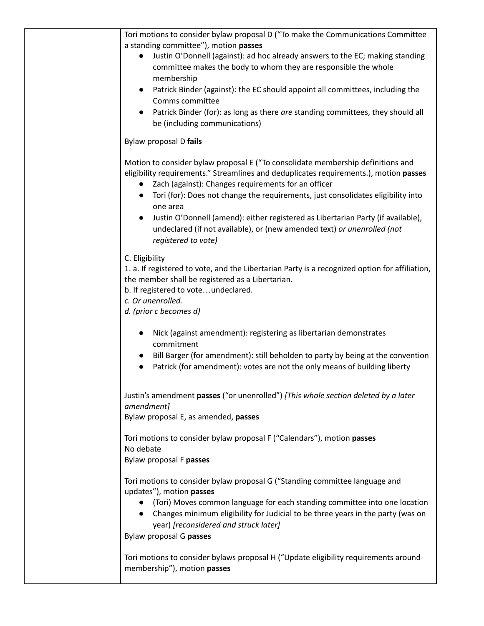Tori motions to consider bylaw proposal D ("To make the Communications Committee a standing committee"), motion **passes**

- Justin O'Donnell (against): ad hoc already answers to the EC; making standing committee makes the body to whom they are responsible the whole membership
- Patrick Binder (against): the EC should appoint all committees, including the Comms committee
- Patrick Binder (for): as long as there *are* standing committees, they should all be (including communications)

## Bylaw proposal D **fails**

Motion to consider bylaw proposal E ("To consolidate membership definitions and eligibility requirements." Streamlines and deduplicates requirements.), motion **passes**

- Zach (against): Changes requirements for an officer
- Tori (for): Does not change the requirements, just consolidates eligibility into one area
- Justin O'Donnell (amend): either registered as Libertarian Party (if available), undeclared (if not available), or (new amended text) *or unenrolled (not registered to vote)*

## C. Eligibility

1. a. If registered to vote, and the Libertarian Party is a recognized option for affiliation, the member shall be registered as a Libertarian.

b. If registered to vote…undeclared.

*c. Or unenrolled.*

*d. (prior c becomes d)*

- Nick (against amendment): registering as libertarian demonstrates commitment
- Bill Barger (for amendment): still beholden to party by being at the convention
- Patrick (for amendment): votes are not the only means of building liberty

Justin's amendment **passes** ("or unenrolled") *[This whole section deleted by a later amendment]*

Bylaw proposal E, as amended, **passes**

Tori motions to consider bylaw proposal F ("Calendars"), motion **passes** No debate Bylaw proposal F **passes**

Tori motions to consider bylaw proposal G ("Standing committee language and updates"), motion **passes**

- (Tori) Moves common language for each standing committee into one location
- Changes minimum eligibility for Judicial to be three years in the party (was on year) *[reconsidered and struck later]*

Bylaw proposal G **passes**

Tori motions to consider bylaws proposal H ("Update eligibility requirements around membership"), motion **passes**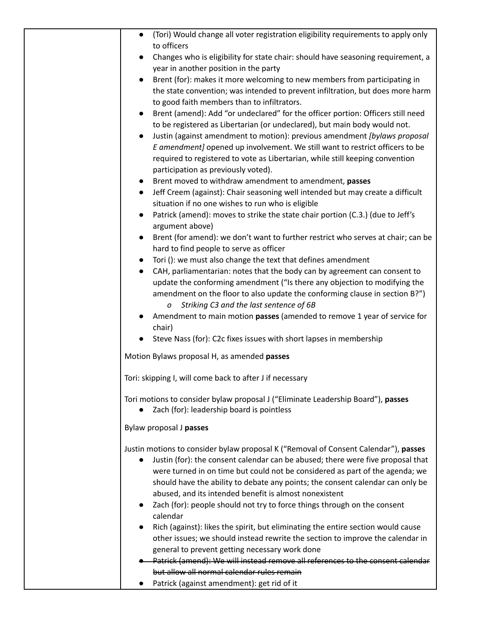| (Tori) Would change all voter registration eligibility requirements to apply only<br>to officers                                                              |
|---------------------------------------------------------------------------------------------------------------------------------------------------------------|
| Changes who is eligibility for state chair: should have seasoning requirement, a<br>$\bullet$                                                                 |
| year in another position in the party                                                                                                                         |
| Brent (for): makes it more welcoming to new members from participating in<br>$\bullet$                                                                        |
| the state convention; was intended to prevent infiltration, but does more harm                                                                                |
| to good faith members than to infiltrators.                                                                                                                   |
| Brent (amend): Add "or undeclared" for the officer portion: Officers still need<br>$\bullet$                                                                  |
| to be registered as Libertarian (or undeclared), but main body would not.                                                                                     |
| Justin (against amendment to motion): previous amendment [bylaws proposal                                                                                     |
| E amendment] opened up involvement. We still want to restrict officers to be<br>required to registered to vote as Libertarian, while still keeping convention |
| participation as previously voted).                                                                                                                           |
| Brent moved to withdraw amendment to amendment, passes                                                                                                        |
| Jeff Creem (against): Chair seasoning well intended but may create a difficult<br>$\bullet$                                                                   |
| situation if no one wishes to run who is eligible                                                                                                             |
| Patrick (amend): moves to strike the state chair portion (C.3.) (due to Jeff's                                                                                |
| argument above)<br>Brent (for amend): we don't want to further restrict who serves at chair; can be<br>$\bullet$                                              |
| hard to find people to serve as officer                                                                                                                       |
| Tori (): we must also change the text that defines amendment<br>$\bullet$                                                                                     |
| CAH, parliamentarian: notes that the body can by agreement can consent to                                                                                     |
| update the conforming amendment ("Is there any objection to modifying the                                                                                     |
| amendment on the floor to also update the conforming clause in section B?")                                                                                   |
| Striking C3 and the last sentence of 6B<br>$\mathcal{O}$                                                                                                      |
| Amendment to main motion passes (amended to remove 1 year of service for<br>chair)                                                                            |
| Steve Nass (for): C2c fixes issues with short lapses in membership                                                                                            |
|                                                                                                                                                               |
| Motion Bylaws proposal H, as amended passes                                                                                                                   |
| Tori: skipping I, will come back to after J if necessary                                                                                                      |
| Tori motions to consider bylaw proposal J ("Eliminate Leadership Board"), passes                                                                              |
| Zach (for): leadership board is pointless                                                                                                                     |
| Bylaw proposal J passes                                                                                                                                       |
|                                                                                                                                                               |
| Justin motions to consider bylaw proposal K ("Removal of Consent Calendar"), passes                                                                           |
| Justin (for): the consent calendar can be abused; there were five proposal that                                                                               |
| were turned in on time but could not be considered as part of the agenda; we                                                                                  |
| should have the ability to debate any points; the consent calendar can only be                                                                                |
| abused, and its intended benefit is almost nonexistent<br>Zach (for): people should not try to force things through on the consent                            |
| calendar                                                                                                                                                      |
| Rich (against): likes the spirit, but eliminating the entire section would cause                                                                              |
| other issues; we should instead rewrite the section to improve the calendar in                                                                                |
| general to prevent getting necessary work done                                                                                                                |
| Patrick (amend): We will instead remove all references to the consent calendar                                                                                |
| but allow all normal calendar rules remain                                                                                                                    |
| Patrick (against amendment): get rid of it                                                                                                                    |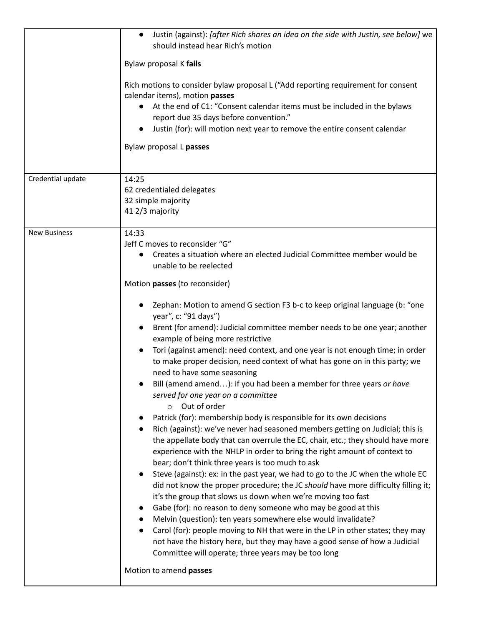|                     | Justin (against): [after Rich shares an idea on the side with Justin, see below] we<br>$\bullet$<br>should instead hear Rich's motion                                                                                                                                                                                                                                                                                                                                                                                                                                                                                                                                                                                                                                                                                                                                                                                                                                                                     |
|---------------------|-----------------------------------------------------------------------------------------------------------------------------------------------------------------------------------------------------------------------------------------------------------------------------------------------------------------------------------------------------------------------------------------------------------------------------------------------------------------------------------------------------------------------------------------------------------------------------------------------------------------------------------------------------------------------------------------------------------------------------------------------------------------------------------------------------------------------------------------------------------------------------------------------------------------------------------------------------------------------------------------------------------|
|                     | Bylaw proposal K fails                                                                                                                                                                                                                                                                                                                                                                                                                                                                                                                                                                                                                                                                                                                                                                                                                                                                                                                                                                                    |
|                     | Rich motions to consider bylaw proposal L ("Add reporting requirement for consent<br>calendar items), motion passes<br>At the end of C1: "Consent calendar items must be included in the bylaws<br>report due 35 days before convention."<br>Justin (for): will motion next year to remove the entire consent calendar<br>Bylaw proposal L passes                                                                                                                                                                                                                                                                                                                                                                                                                                                                                                                                                                                                                                                         |
| Credential update   | 14:25<br>62 credentialed delegates<br>32 simple majority<br>41 2/3 majority                                                                                                                                                                                                                                                                                                                                                                                                                                                                                                                                                                                                                                                                                                                                                                                                                                                                                                                               |
| <b>New Business</b> | 14:33<br>Jeff C moves to reconsider "G"<br>Creates a situation where an elected Judicial Committee member would be<br>unable to be reelected<br>Motion passes (to reconsider)                                                                                                                                                                                                                                                                                                                                                                                                                                                                                                                                                                                                                                                                                                                                                                                                                             |
|                     | Zephan: Motion to amend G section F3 b-c to keep original language (b: "one<br>year", c: "91 days")<br>Brent (for amend): Judicial committee member needs to be one year; another<br>example of being more restrictive<br>Tori (against amend): need context, and one year is not enough time; in order<br>to make proper decision, need context of what has gone on in this party; we<br>need to have some seasoning<br>Bill (amend amend): if you had been a member for three years or have<br>served for one year on a committee                                                                                                                                                                                                                                                                                                                                                                                                                                                                       |
|                     | o Out of order<br>Patrick (for): membership body is responsible for its own decisions<br>Rich (against): we've never had seasoned members getting on Judicial; this is<br>the appellate body that can overrule the EC, chair, etc.; they should have more<br>experience with the NHLP in order to bring the right amount of context to<br>bear; don't think three years is too much to ask<br>Steve (against): ex: in the past year, we had to go to the JC when the whole EC<br>did not know the proper procedure; the JC should have more difficulty filling it;<br>it's the group that slows us down when we're moving too fast<br>Gabe (for): no reason to deny someone who may be good at this<br>Melvin (question): ten years somewhere else would invalidate?<br>Carol (for): people moving to NH that were in the LP in other states; they may<br>$\bullet$<br>not have the history here, but they may have a good sense of how a Judicial<br>Committee will operate; three years may be too long |
|                     | Motion to amend passes                                                                                                                                                                                                                                                                                                                                                                                                                                                                                                                                                                                                                                                                                                                                                                                                                                                                                                                                                                                    |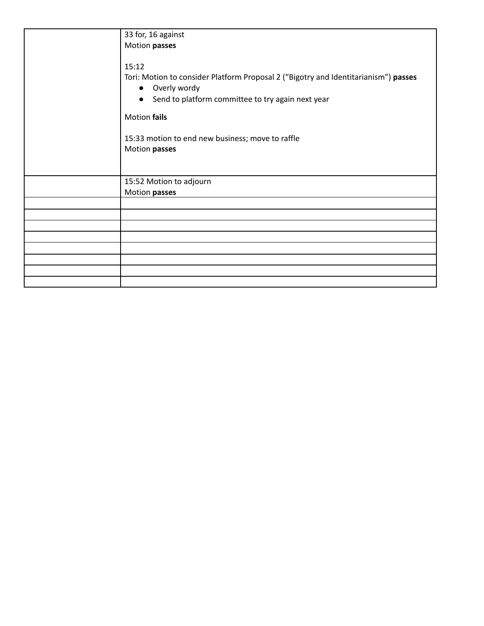| 33 for, 16 against                                                                                                                                                                                                                                                               |
|----------------------------------------------------------------------------------------------------------------------------------------------------------------------------------------------------------------------------------------------------------------------------------|
| Motion passes                                                                                                                                                                                                                                                                    |
| 15:12<br>Tori: Motion to consider Platform Proposal 2 ("Bigotry and Identitarianism") passes<br>Overly wordy<br>$\bullet$<br>Send to platform committee to try again next year<br>$\bullet$<br>Motion fails<br>15:33 motion to end new business; move to raffle<br>Motion passes |
| 15:52 Motion to adjourn                                                                                                                                                                                                                                                          |
| Motion passes                                                                                                                                                                                                                                                                    |
|                                                                                                                                                                                                                                                                                  |
|                                                                                                                                                                                                                                                                                  |
|                                                                                                                                                                                                                                                                                  |
|                                                                                                                                                                                                                                                                                  |
|                                                                                                                                                                                                                                                                                  |
|                                                                                                                                                                                                                                                                                  |
|                                                                                                                                                                                                                                                                                  |
|                                                                                                                                                                                                                                                                                  |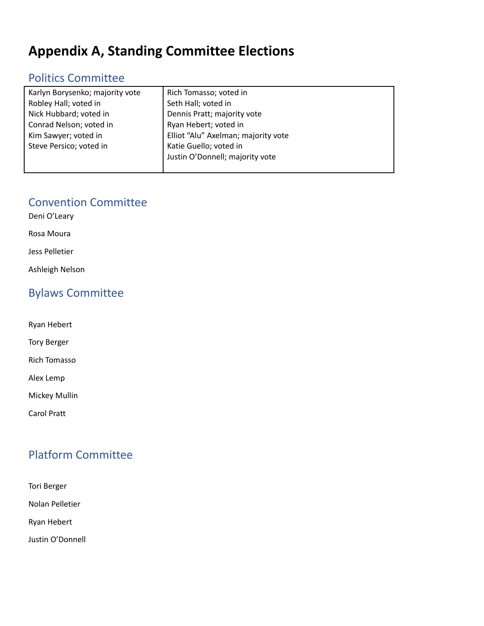# **Appendix A, Standing Committee Elections**

# Politics Committee

| Karlyn Borysenko; majority vote | Rich Tomasso; voted in              |
|---------------------------------|-------------------------------------|
| Robley Hall; voted in           | Seth Hall; voted in                 |
| Nick Hubbard; voted in          | Dennis Pratt; majority vote         |
| Conrad Nelson; voted in         | Ryan Hebert; voted in               |
| Kim Sawyer; voted in            | Elliot "Alu" Axelman; majority vote |
| Steve Persico; voted in         | Katie Guello; voted in              |
|                                 | Justin O'Donnell; majority vote     |
|                                 |                                     |

## Convention Committee

Deni O'Leary

Rosa Moura

Jess Pelletier

Ashleigh Nelson

# Bylaws Committee

Ryan Hebert

Tory Berger

Rich Tomasso

Alex Lemp

Mickey Mullin

Carol Pratt

# Platform Committee

Tori Berger Nolan Pelletier Ryan Hebert

Justin O'Donnell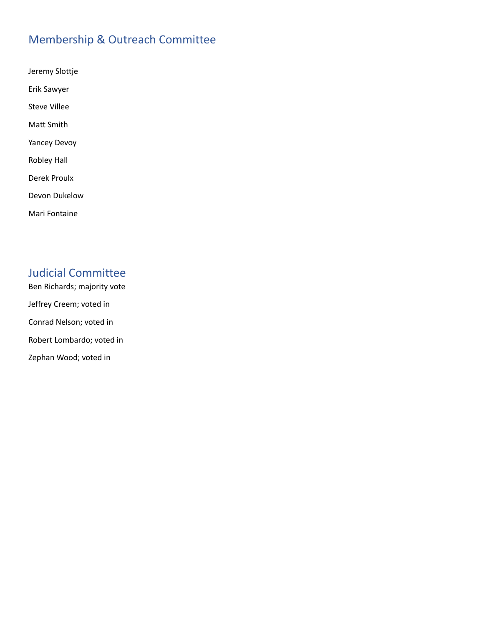# Membership & Outreach Committee

Jeremy Slottje Erik Sawyer Steve Villee Matt Smith Yancey Devoy Robley Hall Derek Proulx Devon Dukelow Mari Fontaine

## Judicial Committee

Ben Richards; majority vote Jeffrey Creem; voted in Conrad Nelson; voted in Robert Lombardo; voted in Zephan Wood; voted in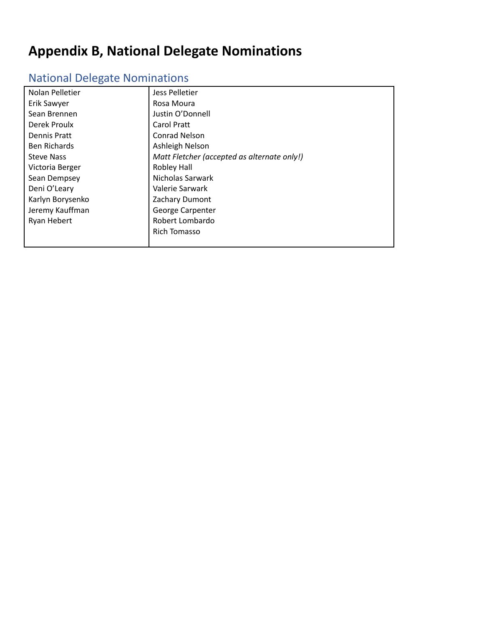# **Appendix B, National Delegate Nominations**

# National Delegate Nominations

| Nolan Pelletier     | Jess Pelletier                              |
|---------------------|---------------------------------------------|
| Erik Sawyer         | Rosa Moura                                  |
| Sean Brennen        | Justin O'Donnell                            |
| Derek Proulx        | Carol Pratt                                 |
| Dennis Pratt        | <b>Conrad Nelson</b>                        |
| <b>Ben Richards</b> | Ashleigh Nelson                             |
| <b>Steve Nass</b>   | Matt Fletcher (accepted as alternate only!) |
| Victoria Berger     | <b>Robley Hall</b>                          |
| Sean Dempsey        | Nicholas Sarwark                            |
| Deni O'Leary        | Valerie Sarwark                             |
| Karlyn Borysenko    | Zachary Dumont                              |
| Jeremy Kauffman     | George Carpenter                            |
| Ryan Hebert         | Robert Lombardo                             |
|                     | Rich Tomasso                                |
|                     |                                             |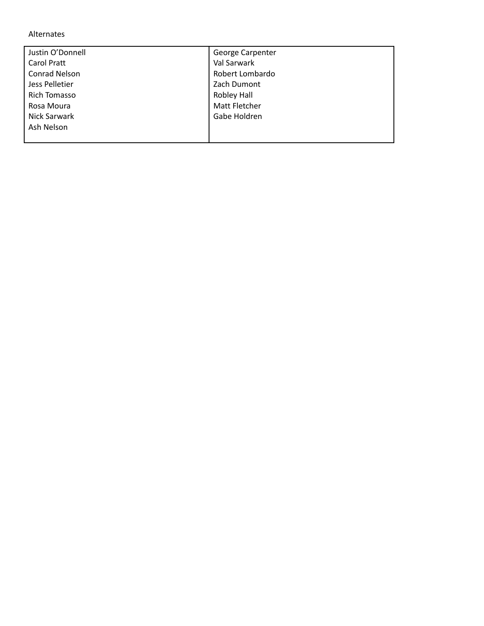#### Alternates

| Justin O'Donnell     | George Carpenter |
|----------------------|------------------|
| <b>Carol Pratt</b>   | Val Sarwark      |
| <b>Conrad Nelson</b> | Robert Lombardo  |
| Jess Pelletier       | Zach Dumont      |
| Rich Tomasso         | Robley Hall      |
| Rosa Moura           | Matt Fletcher    |
| Nick Sarwark         | Gabe Holdren     |
| Ash Nelson           |                  |
|                      |                  |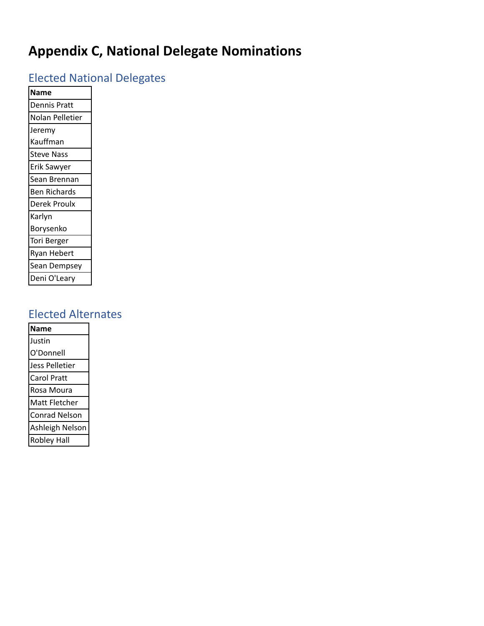# **Appendix C, National Delegate Nominations**

# Elected National Delegates

| <b>Name</b>         |
|---------------------|
| Dennis Pratt        |
| Nolan Pelletier     |
| Jeremy              |
| Kauffman            |
| Steve Nass          |
| Erik Sawyer         |
| Sean Brennan        |
| <b>Ben Richards</b> |
| Derek Proulx        |
| Karlyn              |
| Borysenko           |
| Tori Berger         |
|                     |
| Ryan Hebert         |
| Sean Dempsey        |

# Elected Alternates

| <b>Name</b>        |
|--------------------|
| Justin             |
| O'Donnell          |
| Jess Pelletier     |
| Carol Pratt        |
| Rosa Moura         |
| Matt Fletcher      |
| Conrad Nelson      |
| Ashleigh Nelson    |
| <b>Robley Hall</b> |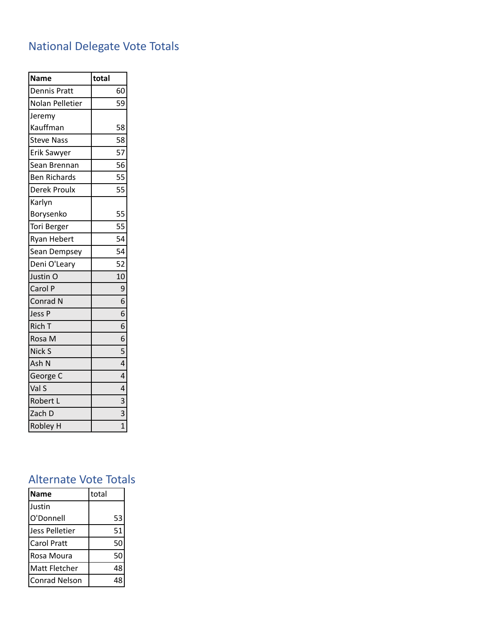# National Delegate Vote Totals

| <b>Name</b>         | total                   |
|---------------------|-------------------------|
| <b>Dennis Pratt</b> | 60                      |
| Nolan Pelletier     | 59                      |
| Jeremy              |                         |
| Kauffman            | 58                      |
| <b>Steve Nass</b>   | 58                      |
| <b>Erik Sawyer</b>  | 57                      |
| Sean Brennan        | 56                      |
| <b>Ben Richards</b> | 55                      |
| Derek Proulx        | 55                      |
| Karlyn              |                         |
| Borysenko           | 55                      |
| Tori Berger         | 55                      |
| <b>Ryan Hebert</b>  | 54                      |
| Sean Dempsey        | 54                      |
| Deni O'Leary        | 52                      |
| Justin O            | 10                      |
| Carol P             | 9                       |
| Conrad N            | 6                       |
| Jess P              | 6                       |
| Rich T              | 6                       |
| Rosa M              | 6                       |
| Nick S              | 5                       |
| Ash N               | $\overline{4}$          |
| George C            | 4                       |
| Val S               | $\overline{4}$          |
| Robert L            | $\overline{\mathbf{3}}$ |
| Zach D              | 3                       |
| <b>Robley H</b>     | $\overline{1}$          |

# Alternate Vote Totals

| <b>Name</b>           | total |
|-----------------------|-------|
| Justin                |       |
| O'Donnell             | 53    |
| <b>Jess Pelletier</b> | 51    |
| Carol Pratt           | 50    |
| Rosa Moura            | 50    |
| Matt Fletcher         | 48    |
| <b>Conrad Nelson</b>  |       |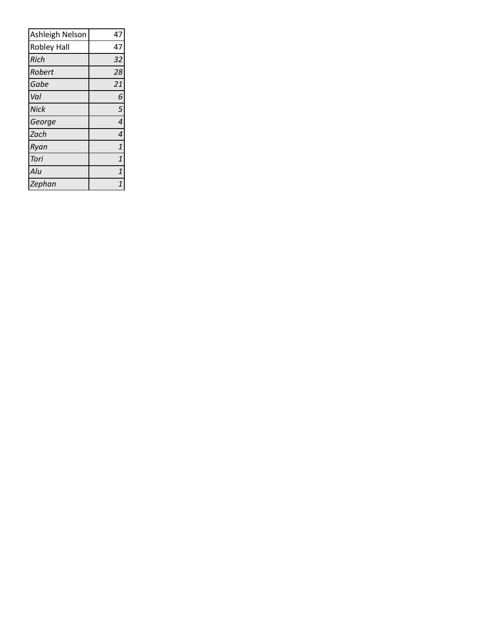| Ashleigh Nelson    | 47             |
|--------------------|----------------|
| <b>Robley Hall</b> | 47             |
| <b>Rich</b>        | 32             |
| Robert             | 28             |
| Gabe               | 21             |
| Val                | 6              |
| <b>Nick</b>        | 5              |
| George             | $\overline{a}$ |
| Zach               | 4              |
| Ryan               | $\mathbf{1}$   |
| Tori               | $\overline{1}$ |
| Alu                | $\overline{1}$ |
| Zephan             | $\overline{1}$ |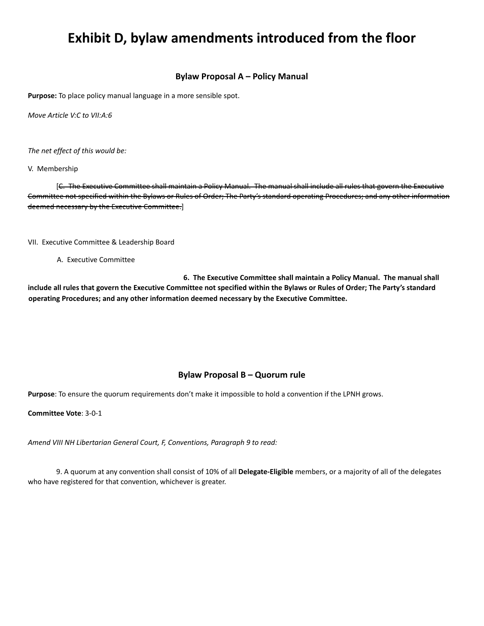# **Exhibit D, bylaw amendments introduced from the floor**

#### **Bylaw Proposal A – Policy Manual**

**Purpose:** To place policy manual language in a more sensible spot.

*Move Article V:C to VII:A:6*

*The net effect of this would be:*

V. Membership

[C. The Executive Committee shall maintain a Policy Manual. The manual shall include all rules that govern the Executive Committee not specified within the Bylaws or Rules of Order; The Party's standard operating Procedures; and any other information deemed necessary by the Executive Committee.]

VII. Executive Committee & Leadership Board

A. Executive Committee

**6. The Executive Committee shall maintain a Policy Manual. The manual shall** include all rules that govern the Executive Committee not specified within the Bylaws or Rules of Order; The Party's standard **operating Procedures; and any other information deemed necessary by the Executive Committee.**

#### **Bylaw Proposal B – Quorum rule**

**Purpose**: To ensure the quorum requirements don't make it impossible to hold a convention if the LPNH grows.

**Committee Vote**: 3-0-1

*Amend VIII NH Libertarian General Court, F, Conventions, Paragraph 9 to read:*

9. A quorum at any convention shall consist of 10% of all **Delegate-Eligible** members, or a majority of all of the delegates who have registered for that convention, whichever is greater.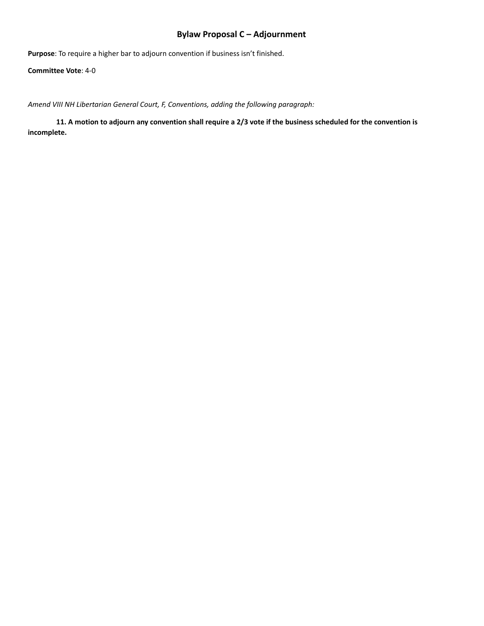## **Bylaw Proposal C – Adjournment**

**Purpose**: To require a higher bar to adjourn convention if business isn't finished.

**Committee Vote**: 4-0

*Amend VIII NH Libertarian General Court, F, Conventions, adding the following paragraph:*

11. A motion to adjourn any convention shall require a 2/3 vote if the business scheduled for the convention is **incomplete.**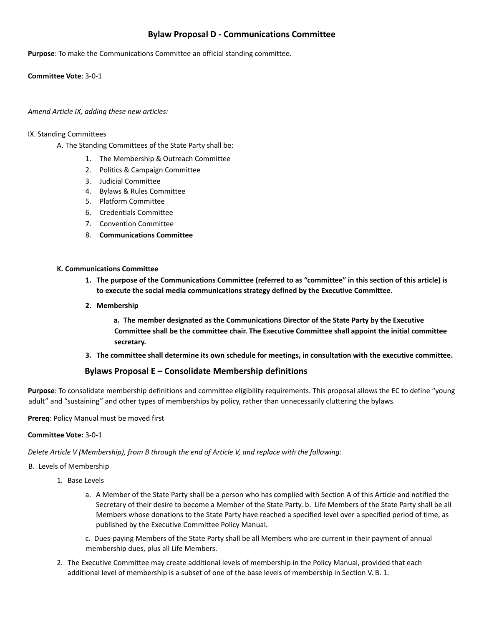## **Bylaw Proposal D - Communications Committee**

**Purpose**: To make the Communications Committee an official standing committee.

**Committee Vote**: 3-0-1

#### *Amend Article IX, adding these new articles:*

#### IX. Standing Committees

- A. The Standing Committees of the State Party shall be:
	- 1. The Membership & Outreach Committee
	- 2. Politics & Campaign Committee
	- 3. Judicial Committee
	- 4. Bylaws & Rules Committee
	- 5. Platform Committee
	- 6. Credentials Committee
	- 7. Convention Committee
	- 8. **Communications Committee**

#### **K. Communications Committee**

- 1. The purpose of the Communications Committee (referred to as "committee" in this section of this article) is **to execute the social media communications strategy defined by the Executive Committee.**
- **2. Membership**

**a. The member designated as the Communications Director of the State Party by the Executive Committee shall be the committee chair. The Executive Committee shall appoint the initial committee secretary.**

**3. The committee shall determine its own schedule for meetings, in consultation with the executive committee.**

### **Bylaws Proposal E – Consolidate Membership definitions**

**Purpose**: To consolidate membership definitions and committee eligibility requirements. This proposal allows the EC to define "young adult" and "sustaining" and other types of memberships by policy, rather than unnecessarily cluttering the bylaws.

#### **Prereq**: Policy Manual must be moved first

#### **Committee Vote:** 3-0-1

*Delete Article V (Membership), from B through the end of Article V, and replace with the following:*

#### B. Levels of Membership

- 1. Base Levels
	- a. A Member of the State Party shall be a person who has complied with Section A of this Article and notified the Secretary of their desire to become a Member of the State Party. b. Life Members of the State Party shall be all Members whose donations to the State Party have reached a specified level over a specified period of time, as published by the Executive Committee Policy Manual.
	- c. Dues-paying Members of the State Party shall be all Members who are current in their payment of annual membership dues, plus all Life Members.
- 2. The Executive Committee may create additional levels of membership in the Policy Manual, provided that each additional level of membership is a subset of one of the base levels of membership in Section V. B. 1.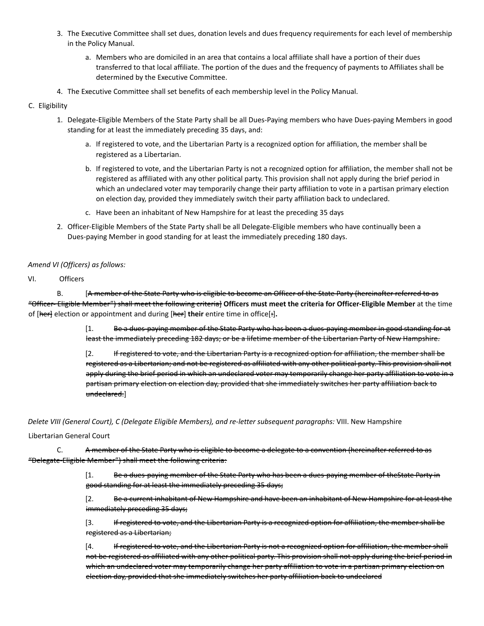- 3. The Executive Committee shall set dues, donation levels and dues frequency requirements for each level of membership in the Policy Manual.
	- a. Members who are domiciled in an area that contains a local affiliate shall have a portion of their dues transferred to that local affiliate. The portion of the dues and the frequency of payments to Affiliates shall be determined by the Executive Committee.
- 4. The Executive Committee shall set benefits of each membership level in the Policy Manual.

#### C. Eligibility

- 1. Delegate-Eligible Members of the State Party shall be all Dues-Paying members who have Dues-paying Members in good standing for at least the immediately preceding 35 days, and:
	- a. If registered to vote, and the Libertarian Party is a recognized option for affiliation, the member shall be registered as a Libertarian.
	- b. If registered to vote, and the Libertarian Party is not a recognized option for affiliation, the member shall not be registered as affiliated with any other political party. This provision shall not apply during the brief period in which an undeclared voter may temporarily change their party affiliation to vote in a partisan primary election on election day, provided they immediately switch their party affiliation back to undeclared.
	- c. Have been an inhabitant of New Hampshire for at least the preceding 35 days
- 2. Officer-Eligible Members of the State Party shall be all Delegate-Eligible members who have continually been a Dues-paying Member in good standing for at least the immediately preceding 180 days.

#### *Amend VI (Officers) as follows:*

#### VI. Officers

B. [A member of the State Party who is eligible to become an Officer of the State Party (hereinafter referred to as "Officer- Eligible Member") shall meet the following criteria] **Officers must meet the criteria for Officer-Eligible Member** at the time of [her] election or appointment and during [her] **their** entire time in office[:]**.**

> [1. Be a dues-paying member of the State Party who has been a dues-paying member in good standing for at least the immediately preceding 182 days; or be a lifetime member of the Libertarian Party of New Hampshire.

> [2. If registered to vote, and the Libertarian Party is a recognized option for affiliation, the member shall be registered as a Libertarian; and not be registered as affiliated with any other political party. This provision shall not apply during the brief period in which an undeclared voter may temporarily change her party affiliation to vote in a partisan primary election on election day, provided that she immediately switches her party affiliation back to undeclared.]

*Delete VIII (General Court), C (Delegate Eligible Members), and re-letter subsequent paragraphs:* VIII. New Hampshire

#### Libertarian General Court

C. A member of the State Party who is eligible to become a delegate to a convention (hereinafter referred to as "Delegate-Eligible Member") shall meet the following criteria:

> [1. Be a dues-paying member of the State Party who has been a dues-paying member of the State Party in good standing for at least the immediately preceding 35 days;

[2. Be a current inhabitant of New Hampshire and have been an inhabitant of New Hampshire for at least the immediately preceding 35 days;

[3. If registered to vote, and the Libertarian Party is a recognized option for affiliation, the member shall be registered as a Libertarian;

[4. If registered to vote, and the Libertarian Party is not a recognized option for affiliation, the member shall not be registered as affiliated with any other political party. This provision shall not apply during the brief period in which an undeclared voter may temporarily change her party affiliation to vote in a partisan primary election on election day, provided that she immediately switches her party affiliation back to undeclared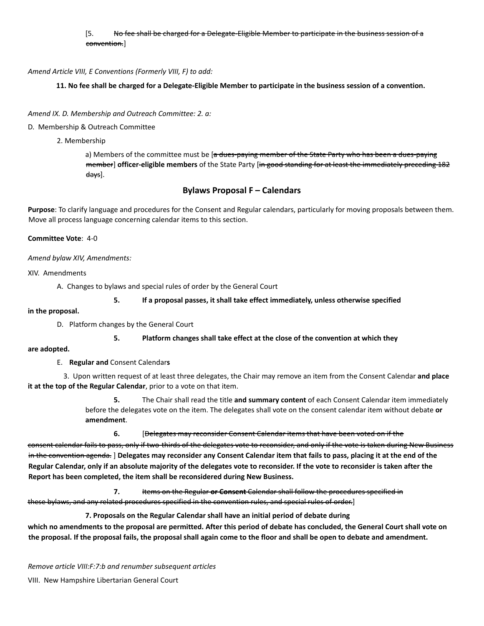#### [5. No fee shall be charged for a Delegate-Eligible Member to participate in the business session of a convention.]

#### *Amend Article VIII, E Conventions (Formerly VIII, F) to add:*

11. No fee shall be charged for a Delegate-Eligible Member to participate in the business session of a convention.

#### *Amend IX. D. Membership and Outreach Committee: 2. a:*

#### D. Membership & Outreach Committee

2. Membership

a) Members of the committee must be [a dues-paying member of the State Party who has been a dues-paying member] **officer-eligible members** of the State Party [in good standing for at least the immediately preceding 182 days].

#### **Bylaws Proposal F – Calendars**

**Purpose**: To clarify language and procedures for the Consent and Regular calendars, particularly for moving proposals between them. Move all process language concerning calendar items to this section.

#### **Committee Vote**: 4-0

*Amend bylaw XIV, Amendments:*

XIV. Amendments

A. Changes to bylaws and special rules of order by the General Court

#### **5. If a proposal passes, it shall take effect immediately, unless otherwise specified**

#### **in the proposal.**

D. Platform changes by the General Court

#### **5. Platform changes shall take effect at the close of the convention at which they**

#### **are adopted.**

E. **Regular and** Consent Calendar**s**

3. Upon written request of at least three delegates, the Chair may remove an item from the Consent Calendar **and place it at the top of the Regular Calendar**, prior to a vote on that item.

> **5.** The Chair shall read the title **and summary content** of each Consent Calendar item immediately before the delegates vote on the item. The delegates shall vote on the consent calendar item without debate **or amendment**.

**6.** [Delegates may reconsider Consent Calendar items that have been voted on if the

consent calendar fails to pass, only if two-thirds of the delegates vote to reconsider, and only if the vote is taken during New Business in the convention agenda. ] Delegates may reconsider any Consent Calendar item that fails to pass, placing it at the end of the Regular Calendar, only if an absolute majority of the delegates vote to reconsider. If the vote to reconsider is taken after the **Report has been completed, the item shall be reconsidered during New Business.**

**7.** Items on the Regular **or Consent** Calendar shall follow the procedures specified in these bylaws, and any related procedures specified in the convention rules, and special rules of order.]

**7. Proposals on the Regular Calendar shall have an initial period of debate during**

which no amendments to the proposal are permitted. After this period of debate has concluded, the General Court shall vote on the proposal. If the proposal fails, the proposal shall again come to the floor and shall be open to debate and amendment.

*Remove article VIII:F:7:b and renumber subsequent articles*

VIII. New Hampshire Libertarian General Court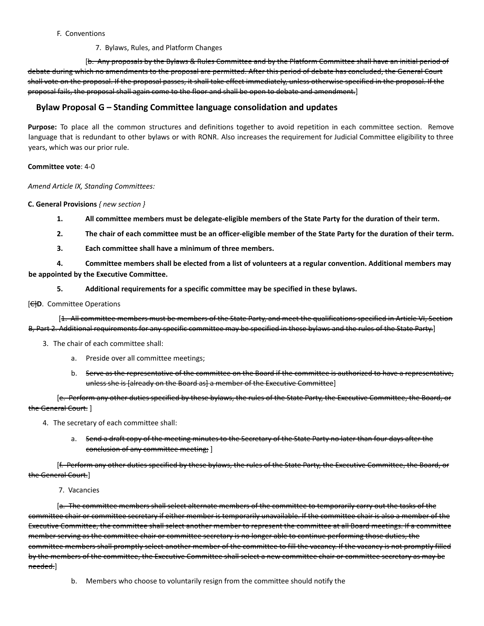#### F. Conventions

#### 7. Bylaws, Rules, and Platform Changes

[b. Any proposals by the Bylaws & Rules Committee and by the Platform Committee shall have an initial period of debate during which no amendments to the proposal are permitted. After this period of debate has concluded, the General Court shall vote on the proposal. If the proposal passes, it shall take effect immediately, unless otherwise specified in the proposal. If the proposal fails, the proposal shall again come to the floor and shall be open to debate and amendment.]

### **Bylaw Proposal G – Standing Committee language consolidation and updates**

**Purpose:** To place all the common structures and definitions together to avoid repetition in each committee section. Remove language that is redundant to other bylaws or with RONR. Also increases the requirement for Judicial Committee eligibility to three years, which was our prior rule.

#### **Committee vote**: 4-0

*Amend Article IX, Standing Committees:*

**C. General Provisions** *{ new section }*

- 1. All committee members must be delegate-eligible members of the State Party for the duration of their term.
- 2. The chair of each committee must be an officer-eligible member of the State Party for the duration of their term.
- **3. Each committee shall have a minimum of three members.**

4. Committee members shall be elected from a list of volunteers at a regular convention. Additional members may **be appointed by the Executive Committee.**

**5. Additional requirements for a specific committee may be specified in these bylaws.**

#### [C]**D**. Committee Operations

[1. All committee members must be members of the State Party, and meet the qualifications specified in Article VI, Section B, Part 2. Additional requirements for any specific committee may be specified in these bylaws and the rules of the State Party.]

- 3. The chair of each committee shall:
	- a. Preside over all committee meetings;
	- b. Serve as the representative of the committee on the Board if the committee is authorized to have a representative, unless she is [already on the Board as] a member of the Executive Committee]

[e. Perform any other duties specified by these bylaws, the rules of the State Party, the Executive Committee, the Board, or the General Court. ]

- 4. The secretary of each committee shall:
	- a. Send a draft copy of the meeting minutes to the Secretary of the State Party no later than four days after the conclusion of any committee meeting; ]

[f. Perform any other duties specified by these bylaws, the rules of the State Party, the Executive Committee, the Board, or the General Court.]

7. Vacancies

[a. The committee members shall select alternate members of the committee to temporarily carry out the tasks of the committee chair or committee secretary if either member is temporarily unavailable. If the committee chair is also a member of the Executive Committee, the committee shall select another member to represent the committee at all Board meetings. If a committee member serving as the committee chair or committee secretary is no longer able to continue performing those duties, the committee members shall promptly select another member of the committee to fill the vacancy. If the vacancy is not promptly filled by the members of the committee, the Executive Committee shall select a new committee chair or committee secretary as may be needed.]

b. Members who choose to voluntarily resign from the committee should notify the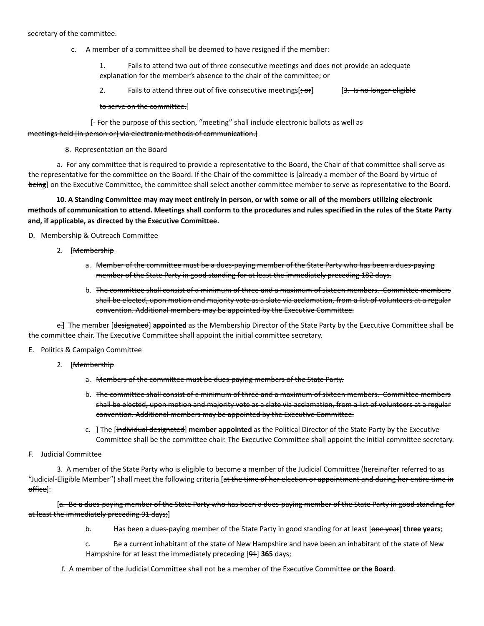#### secretary of the committee.

c. A member of a committee shall be deemed to have resigned if the member:

1. Fails to attend two out of three consecutive meetings and does not provide an adequate explanation for the member's absence to the chair of the committee; or

2. Fails to attend three out of five consecutive meetings[<del>; or</del>] [3. Is no longer eligible

to serve on the committee.]

## [- For the purpose of this section, "meeting" shall include electronic ballots as well as meetings held [in person or] via electronic methods of communication.]

8. Representation on the Board

a. For any committee that is required to provide a representative to the Board, the Chair of that committee shall serve as the representative for the committee on the Board. If the Chair of the committee is [already a member of the Board by virtue of being] on the Executive Committee, the committee shall select another committee member to serve as representative to the Board.

10. A Standing Committee may may meet entirely in person, or with some or all of the members utilizing electronic methods of communication to attend. Meetings shall conform to the procedures and rules specified in the rules of the State Party **and, if applicable, as directed by the Executive Committee.**

D. Membership & Outreach Committee

- 2. [Membership
	- a. Member of the committee must be a dues-paying member of the State Party who has been a dues-paying member of the State Party in good standing for at least the immediately preceding 182 days.
	- b. The committee shall consist of a minimum of three and a maximum of sixteen members. Committee members shall be elected, upon motion and majority vote as a slate via acclamation, from a list of volunteers at a regular convention. Additional members may be appointed by the Executive Committee.

c.] The member [designated] **appointed** as the Membership Director of the State Party by the Executive Committee shall be the committee chair. The Executive Committee shall appoint the initial committee secretary.

- E. Politics & Campaign Committee
	- 2. [Membership
		- a. Members of the committee must be dues-paying members of the State Party.
		- b. The committee shall consist of a minimum of three and a maximum of sixteen members. Committee members shall be elected, upon motion and majority vote as a slate via acclamation, from a list of volunteers at a regular convention. Additional members may be appointed by the Executive Committee.
		- c. ] The [individual designated] **member appointed** as the Political Director of the State Party by the Executive Committee shall be the committee chair. The Executive Committee shall appoint the initial committee secretary.
- F. Judicial Committee

3. A member of the State Party who is eligible to become a member of the Judicial Committee (hereinafter referred to as "Judicial-Eligible Member") shall meet the following criteria [at the time of her election or appointment and during her entire time in office]:

[a. Be a dues-paying member of the State Party who has been a dues-paying member of the State Party in good standing for at least the immediately preceding 91 days;]

- b. Has been a dues-paying member of the State Party in good standing for at least [one year] **three years**;
- c. Be a current inhabitant of the state of New Hampshire and have been an inhabitant of the state of New Hampshire for at least the immediately preceding [94] 365 days;
- f. A member of the Judicial Committee shall not be a member of the Executive Committee **or the Board**.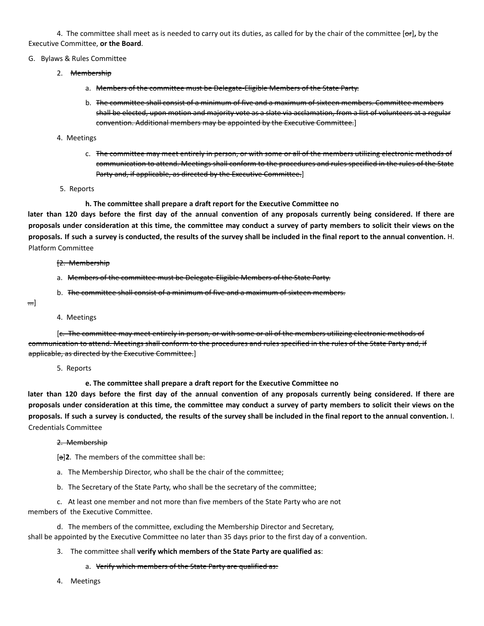4. The committee shall meet as is needed to carry out its duties, as called for by the chair of the committee [or]**,** by the Executive Committee, **or the Board**.

#### G. Bylaws & Rules Committee

- 2. <del>Membership</del>
	- a. Members of the committee must be Delegate-Eligible Members of the State Party.
	- b. The committee shall consist of a minimum of five and a maximum of sixteen members. Committee members shall be elected, upon motion and majority vote as a slate via acclamation, from a list of volunteers at a regular convention. Additional members may be appointed by the Executive Committee.]

#### 4. Meetings

- c. The committee may meet entirely in person, or with some or all of the members utilizing electronic methods of communication to attend. Meetings shall conform to the procedures and rules specified in the rules of the State Party and, if applicable, as directed by the Executive Committee.]
- 5. Reports

**h. The committee shall prepare a draft report for the Executive Committee no**

later than 120 days before the first day of the annual convention of any proposals currently being considered. If there are proposals under consideration at this time, the committee may conduct a survey of party members to solicit their views on the proposals. If such a survey is conducted, the results of the survey shall be included in the final report to the annual convention. H. Platform Committee

- [2. Membership
- a. Members of the committee must be Delegate-Eligible Members of the State Party.
- b. The committee shall consist of a minimum of five and a maximum of sixteen members.
- ...]
- 4. Meetings

[c. The committee may meet entirely in person, or with some or all of the members utilizing electronic methods of communication to attend. Meetings shall conform to the procedures and rules specified in the rules of the State Party and, if applicable, as directed by the Executive Committee.]

5. Reports

**e. The committee shall prepare a draft report for the Executive Committee no**

later than 120 days before the first day of the annual convention of any proposals currently being considered. If there are proposals under consideration at this time, the committee may conduct a survey of party members to solicit their views on the proposals. If such a survey is conducted, the results of the survey shall be included in the final report to the annual convention. I. Credentials Committee

#### 2. Membership

[a]**2**. The members of the committee shall be:

- a. The Membership Director, who shall be the chair of the committee;
- b. The Secretary of the State Party, who shall be the secretary of the committee;

c. At least one member and not more than five members of the State Party who are not members of the Executive Committee.

d. The members of the committee, excluding the Membership Director and Secretary, shall be appointed by the Executive Committee no later than 35 days prior to the first day of a convention.

#### 3. The committee shall **verify which members of the State Party are qualified as**:

#### a. Verify which members of the State Party are qualified as:

4. Meetings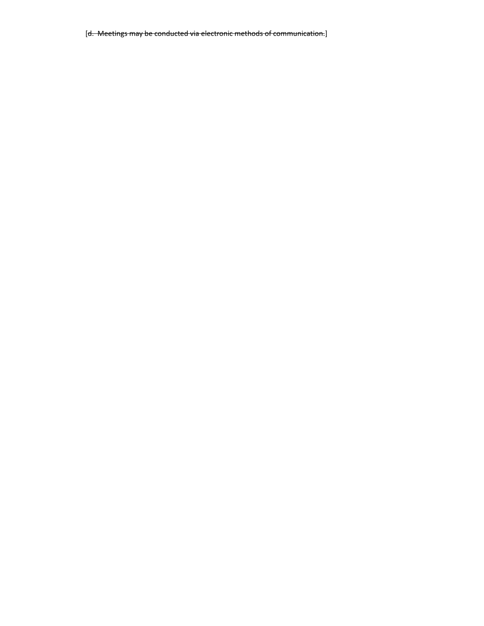[d. Meetings may be conducted via electronic methods of communication.]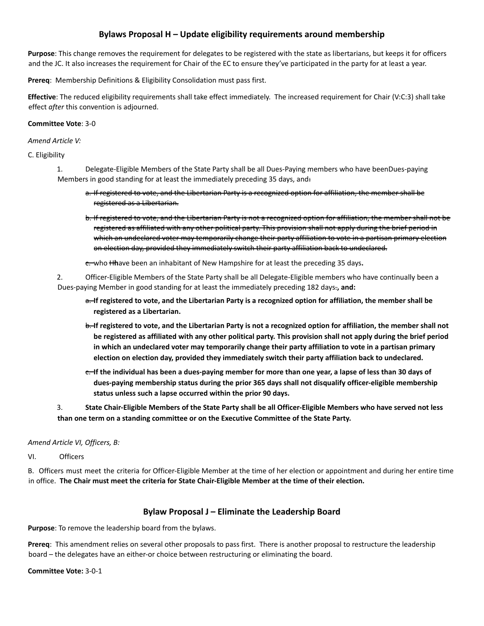## **Bylaws Proposal H – Update eligibility requirements around membership**

**Purpose**: This change removes the requirement for delegates to be registered with the state as libertarians, but keeps it for officers and the JC. It also increases the requirement for Chair of the EC to ensure they've participated in the party for at least a year.

**Prereq**: Membership Definitions & Eligibility Consolidation must pass first.

**Effective**: The reduced eligibility requirements shall take effect immediately. The increased requirement for Chair (V:C:3) shall take effect *after* this convention is adjourned.

#### **Committee Vote**: 3-0

#### *Amend Article V:*

C. Eligibility

- 1. Delegate-Eligible Members of the State Party shall be all Dues-Paying members who have beenDues-paying Members in good standing for at least the immediately preceding 35 days, and:
	- a. If registered to vote, and the Libertarian Party is a recognized option for affiliation, the member shall be registered as a Libertarian.
	- b. If registered to vote, and the Libertarian Party is not a recognized option for affiliation, the member shall not be registered as affiliated with any other political party. This provision shall not apply during the brief period in which an undeclared voter may temporarily change their party affiliation to vote in a partisan primary election on election day, provided they immediately switch their party affiliation back to undeclared.

c. who H**h**ave been an inhabitant of New Hampshire for at least the preceding 35 days**.**

2. Officer-Eligible Members of the State Party shall be all Delegate-Eligible members who have continually been a Dues-paying Member in good standing for at least the immediately preceding 182 days.**, and:**

- <del>a. I</del>f registered to vote, and the Libertarian Party is a recognized option for affiliation, the member shall be **registered as a Libertarian.**
- b. If registered to vote, and the Libertarian Party is not a recognized option for affiliation, the member shall not be registered as affiliated with any other political party. This provision shall not apply during the brief period **in which an undeclared voter may temporarily change their party affiliation to vote in a partisan primary election on election day, provided they immediately switch their party affiliation back to undeclared.**
- e. If the individual has been a dues-paying member for more than one year, a lapse of less than 30 days of **dues-paying membership status during the prior 365 days shall not disqualify officer-eligible membership status unless such a lapse occurred within the prior 90 days.**
- 3. State Chair-Eligible Members of the State Party shall be all Officer-Eligible Members who have served not less **than one term on a standing committee or on the Executive Committee of the State Party.**

### *Amend Article VI, Officers, B:*

VI. Officers

B. Officers must meet the criteria for Officer-Eligible Member at the time of her election or appointment and during her entire time in office. **The Chair must meet the criteria for State Chair-Eligible Member at the time of their election.**

### **Bylaw Proposal J – Eliminate the Leadership Board**

**Purpose**: To remove the leadership board from the bylaws.

**Prereq**: This amendment relies on several other proposals to pass first. There is another proposal to restructure the leadership board – the delegates have an either-or choice between restructuring or eliminating the board.

#### **Committee Vote:** 3-0-1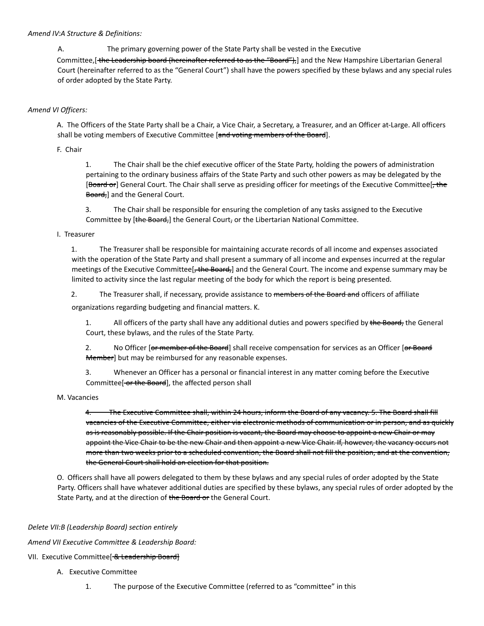#### *Amend IV:A Structure & Definitions:*

A. The primary governing power of the State Party shall be vested in the Executive

Committee, [the Leadership board (hereinafter referred to as the "Board"),] and the New Hampshire Libertarian General Court (hereinafter referred to as the "General Court") shall have the powers specified by these bylaws and any special rules of order adopted by the State Party.

#### *Amend VI Officers:*

A. The Officers of the State Party shall be a Chair, a Vice Chair, a Secretary, a Treasurer, and an Officer at-Large. All officers shall be voting members of Executive Committee [and voting members of the Board].

F. Chair

1. The Chair shall be the chief executive officer of the State Party, holding the powers of administration pertaining to the ordinary business affairs of the State Party and such other powers as may be delegated by the [Board or] General Court. The Chair shall serve as presiding officer for meetings of the Executive Committee[, the Board, and the General Court.

3. The Chair shall be responsible for ensuring the completion of any tasks assigned to the Executive Committee by [the Board,] the General Court, or the Libertarian National Committee.

#### I. Treasurer

1. The Treasurer shall be responsible for maintaining accurate records of all income and expenses associated with the operation of the State Party and shall present a summary of all income and expenses incurred at the regular meetings of the Executive Committee[, the Board,] and the General Court. The income and expense summary may be limited to activity since the last regular meeting of the body for which the report is being presented.

2. The Treasurer shall, if necessary, provide assistance to members of the Board and officers of affiliate

organizations regarding budgeting and financial matters. K.

1. All officers of the party shall have any additional duties and powers specified by the Board, the General Court, these bylaws, and the rules of the State Party.

2. No Officer [or member of the Board] shall receive compensation for services as an Officer [or Board Member] but may be reimbursed for any reasonable expenses.

3. Whenever an Officer has a personal or financial interest in any matter coming before the Executive Committee[-or the Board], the affected person shall

#### M. Vacancies

4. The Executive Committee shall, within 24 hours, inform the Board of any vacancy. 5. The Board shall fill vacancies of the Executive Committee, either via electronic methods of communication or in person, and as quickly as is reasonably possible. If the Chair position is vacant, the Board may choose to appoint a new Chair or may appoint the Vice Chair to be the new Chair and then appoint a new Vice Chair. If, however, the vacancy occurs not more than two weeks prior to a scheduled convention, the Board shall not fill the position, and at the convention, the General Court shall hold an election for that position.

O. Officers shall have all powers delegated to them by these bylaws and any special rules of order adopted by the State Party. Officers shall have whatever additional duties are specified by these bylaws, any special rules of order adopted by the State Party, and at the direction of the Board or the General Court.

#### *Delete VII:B (Leadership Board) section entirely*

*Amend VII Executive Committee & Leadership Board:*

#### VII. Executive Committee<sup>[-& Leadership Board]</sup>

- A. Executive Committee
	- 1. The purpose of the Executive Committee (referred to as "committee" in this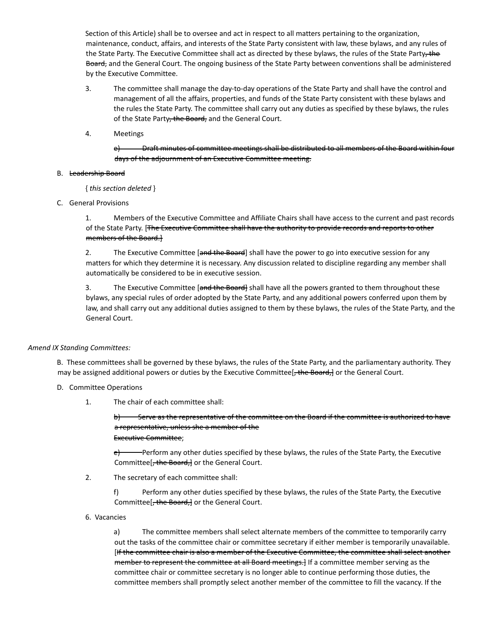Section of this Article) shall be to oversee and act in respect to all matters pertaining to the organization, maintenance, conduct, affairs, and interests of the State Party consistent with law, these bylaws, and any rules of the State Party. The Executive Committee shall act as directed by these bylaws, the rules of the State Party, the Board, and the General Court. The ongoing business of the State Party between conventions shall be administered by the Executive Committee.

- 3. The committee shall manage the day-to-day operations of the State Party and shall have the control and management of all the affairs, properties, and funds of the State Party consistent with these bylaws and the rules the State Party. The committee shall carry out any duties as specified by these bylaws, the rules of the State Party, the Board, and the General Court.
- 4. Meetings

e) Draft minutes of committee meetings shall be distributed to all members of the Board within four days of the adjournment of an Executive Committee meeting.

#### B. Leadership Board

{ *this section deleted* }

C. General Provisions

1. Members of the Executive Committee and Affiliate Chairs shall have access to the current and past records of the State Party. [The Executive Committee shall have the authority to provide records and reports to other members of the Board.]

2. The Executive Committee [and the Board] shall have the power to go into executive session for any matters for which they determine it is necessary. Any discussion related to discipline regarding any member shall automatically be considered to be in executive session.

3. The Executive Committee [and the Board] shall have all the powers granted to them throughout these bylaws, any special rules of order adopted by the State Party, and any additional powers conferred upon them by law, and shall carry out any additional duties assigned to them by these bylaws, the rules of the State Party, and the General Court.

#### *Amend IX Standing Committees:*

B. These committees shall be governed by these bylaws, the rules of the State Party, and the parliamentary authority. They may be assigned additional powers or duties by the Executive Committee[, the Board,] or the General Court.

- D. Committee Operations
	- 1. The chair of each committee shall:

b) Serve as the representative of the committee on the Board if the committee is authorized to have a representative, unless she a member of the Executive Committee;

 $e$ ) Perform any other duties specified by these bylaws, the rules of the State Party, the Executive Committee<sup>[-the Board-</sup>] or the General Court.

2. The secretary of each committee shall:

f) Perform any other duties specified by these bylaws, the rules of the State Party, the Executive Committee<sup>[, the Board,]</sup> or the General Court.

6. Vacancies

a) The committee members shall select alternate members of the committee to temporarily carry out the tasks of the committee chair or committee secretary if either member is temporarily unavailable. [If the committee chair is also a member of the Executive Committee, the committee shall select another member to represent the committee at all Board meetings.] If a committee member serving as the committee chair or committee secretary is no longer able to continue performing those duties, the committee members shall promptly select another member of the committee to fill the vacancy. If the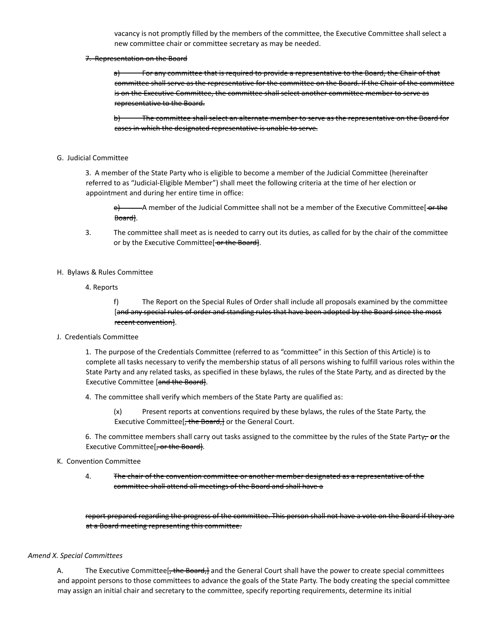vacancy is not promptly filled by the members of the committee, the Executive Committee shall select a new committee chair or committee secretary as may be needed.

#### 7. Representation on the Board

a) For any committee that is required to provide a representative to the Board, the Chair of that committee shall serve as the representative for the committee on the Board. If the Chair of the committee is on the Executive Committee, the committee shall select another committee member to serve as representative to the Board.

b) The committee shall select an alternate member to serve as the representative on the Board for cases in which the designated representative is unable to serve.

#### G. Judicial Committee

3. A member of the State Party who is eligible to become a member of the Judicial Committee (hereinafter referred to as "Judicial-Eligible Member") shall meet the following criteria at the time of her election or appointment and during her entire time in office:

- A member of the Judicial Committee shall not be a member of the Executive Committee[-or-the Board].

- 3. The committee shall meet as is needed to carry out its duties, as called for by the chair of the committee or by the Executive Committee[ or the Board].
- H. Bylaws & Rules Committee
	- 4. Reports

f) The Report on the Special Rules of Order shall include all proposals examined by the committee [and any special rules of order and standing rules that have been adopted by the Board since the most recent convention].

J. Credentials Committee

1. The purpose of the Credentials Committee (referred to as "committee" in this Section of this Article) is to complete all tasks necessary to verify the membership status of all persons wishing to fulfill various roles within the State Party and any related tasks, as specified in these bylaws, the rules of the State Party, and as directed by the Executive Committee [and the Board].

4. The committee shall verify which members of the State Party are qualified as:

(x) Present reports at conventions required by these bylaws, the rules of the State Party, the Executive Committee[, the Board, ] or the General Court.

6. The committee members shall carry out tasks assigned to the committee by the rules of the State Party, **or** the Executive Committee<sup>[, or the Board]</sup>.

#### K. Convention Committee

4. The chair of the convention committee or another member designated as a representative of the committee shall attend all meetings of the Board and shall have a

report prepared regarding the progress of the committee. This person shall not have a vote on the Board if they are at a Board meeting representing this committee.

#### *Amend X. Special Committees*

A. The Executive Committee[, the Board, and the General Court shall have the power to create special committees and appoint persons to those committees to advance the goals of the State Party. The body creating the special committee may assign an initial chair and secretary to the committee, specify reporting requirements, determine its initial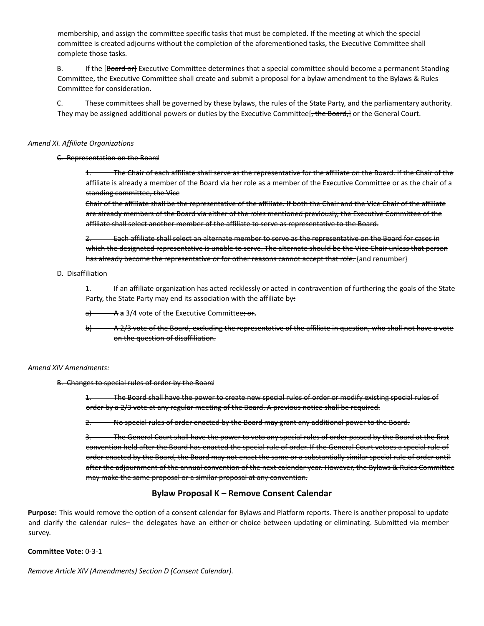membership, and assign the committee specific tasks that must be completed. If the meeting at which the special committee is created adjourns without the completion of the aforementioned tasks, the Executive Committee shall complete those tasks.

B. If the [Board or] Executive Committee determines that a special committee should become a permanent Standing Committee, the Executive Committee shall create and submit a proposal for a bylaw amendment to the Bylaws & Rules Committee for consideration.

C. These committees shall be governed by these bylaws, the rules of the State Party, and the parliamentary authority. They may be assigned additional powers or duties by the Executive Committee[, the Board,] or the General Court.

#### *Amend XI. Affiliate Organizations*

#### C. Representation on the Board

1. The Chair of each affiliate shall serve as the representative for the affiliate on the Board. If the Chair of the affiliate is already a member of the Board via her role as a member of the Executive Committee or as the chair of a standing committee, the Vice

Chair of the affiliate shall be the representative of the affiliate. If both the Chair and the Vice Chair of the affiliate are already members of the Board via either of the roles mentioned previously, the Executive Committee of the affiliate shall select another member of the affiliate to serve as representative to the Board.

2. Each affiliate shall select an alternate member to serve as the representative on the Board for cases in which the designated representative is unable to serve. The alternate should be the Vice Chair unless that person has already become the representative or for other reasons cannot accept that role. {and renumber}

#### D. Disaffiliation

1. If an affiliate organization has acted recklessly or acted in contravention of furthering the goals of the State Party, the State Party may end its association with the affiliate by:

a) A **a** 3/4 vote of the Executive Committee; or**.**

b) A 2/3 vote of the Board, excluding the representative of the affiliate in question, who shall not have a vote on the question of disaffiliation.

#### *Amend XIV Amendments:*

#### B. Changes to special rules of order by the Board

1. The Board shall have the power to create new special rules of order or modify existing special rules of order by a 2/3 vote at any regular meeting of the Board. A previous notice shall be required.

2. No special rules of order enacted by the Board may grant any additional power to the Board.

3. The General Court shall have the power to veto any special rules of order passed by the Board at the first convention held after the Board has enacted the special rule of order. If the General Court vetoes a special rule of order enacted by the Board, the Board may not enact the same or a substantially similar special rule of order until after the adjournment of the annual convention of the next calendar year. However, the Bylaws & Rules Committee may make the same proposal or a similar proposal at any convention.

### **Bylaw Proposal K – Remove Consent Calendar**

**Purpose:** This would remove the option of a consent calendar for Bylaws and Platform reports. There is another proposal to update and clarify the calendar rules– the delegates have an either-or choice between updating or eliminating. Submitted via member survey.

#### **Committee Vote:** 0-3-1

*Remove Article XIV (Amendments) Section D (Consent Calendar).*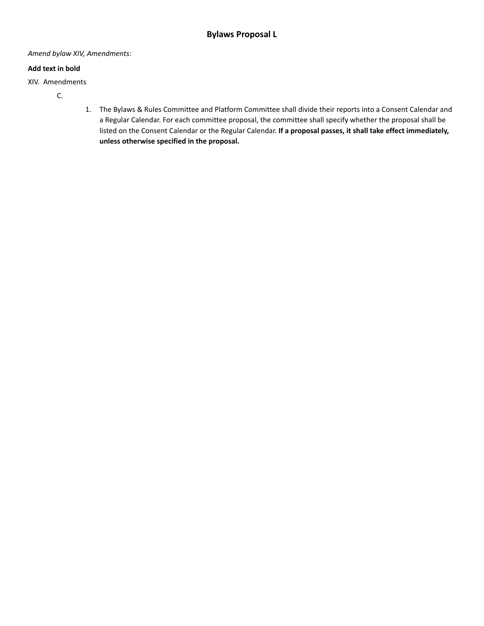#### *Amend bylaw XIV, Amendments:*

#### **Add text in bold**

XIV. Amendments

- C.
- 1. The Bylaws & Rules Committee and Platform Committee shall divide their reports into a Consent Calendar and a Regular Calendar. For each committee proposal, the committee shall specify whether the proposal shall be listed on the Consent Calendar or the Regular Calendar. **If a proposal passes, it shall take effect immediately, unless otherwise specified in the proposal.**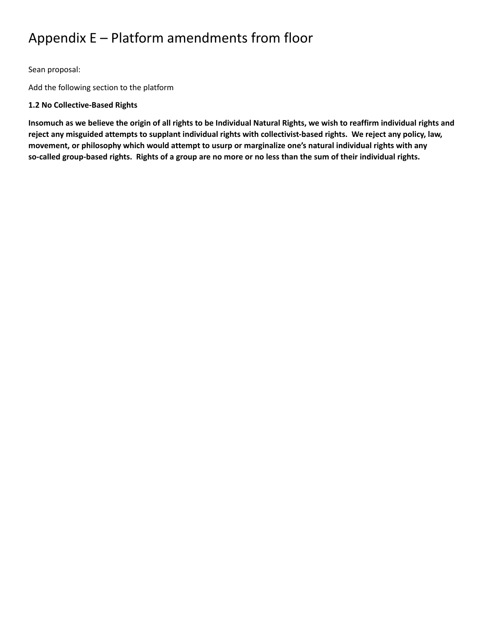# Appendix E – Platform amendments from floor

Sean proposal:

Add the following section to the platform

## **1.2 No Collective-Based Rights**

Insomuch as we believe the origin of all rights to be Individual Natural Rights, we wish to reaffirm individual rights and reject any misguided attempts to supplant individual rights with collectivist-based rights. We reject any policy, law, **movement, or philosophy which would attempt to usurp or marginalize one's natural individual rights with any** so-called group-based rights. Rights of a group are no more or no less than the sum of their individual rights.